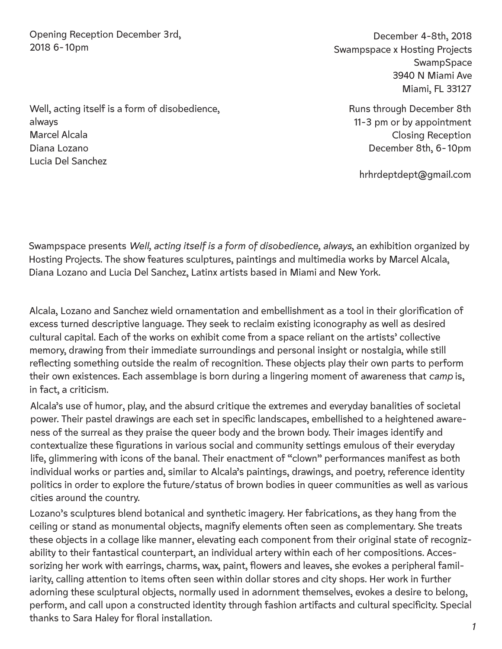Opening Reception December 3rd, 2018 6-10pm

December 4-8th, 2018 Swampspace x Hosting Projects **SwampSpace** 3940 N Miami Ave Miami, FL 33127

> Runs through December 8th 11-3 pm or by appointment Closing Reception December 8th, 6-10pm

hrhrdeptdept@gmail.com

Swampspace presents *Well, acting itself is a form of disobedience, always*, an exhibition organized by Hosting Projects. The show features sculptures, paintings and multimedia works by Marcel Alcala, Diana Lozano and Lucia Del Sanchez, Latinx artists based in Miami and New York.

Alcala, Lozano and Sanchez wield ornamentation and embellishment as a tool in their glorification of excess turned descriptive language. They seek to reclaim existing iconography as well as desired cultural capital. Each of the works on exhibit come from a space reliant on the artists' collective memory, drawing from their immediate surroundings and personal insight or nostalgia, while still reflecting something outside the realm of recognition. These objects play their own parts to perform their own existences. Each assemblage is born during a lingering moment of awareness that *camp* is, in fact, a criticism.

Alcala's use of humor, play, and the absurd critique the extremes and everyday banalities of societal power. Their pastel drawings are each set in specific landscapes, embellished to a heightened awareness of the surreal as they praise the queer body and the brown body. Their images identify and contextualize these figurations in various social and community settings emulous of their everyday life, glimmering with icons of the banal. Their enactment of "clown" performances manifest as both individual works or parties and, similar to Alcala's paintings, drawings, and poetry, reference identity politics in order to explore the future/status of brown bodies in queer communities as well as various cities around the country.

Lozano's sculptures blend botanical and synthetic imagery. Her fabrications, as they hang from the ceiling or stand as monumental objects, magnify elements often seen as complementary. She treats these objects in a collage like manner, elevating each component from their original state of recognizability to their fantastical counterpart, an individual artery within each of her compositions. Accessorizing her work with earrings, charms, wax, paint, flowers and leaves, she evokes a peripheral familiarity, calling attention to items often seen within dollar stores and city shops. Her work in further adorning these sculptural objects, normally used in adornment themselves, evokes a desire to belong, perform, and call upon a constructed identity through fashion artifacts and cultural specificity. Special thanks to Sara Haley for floral installation.

Well, acting itself is a form of disobedience, always Marcel Alcala Diana Lozano Lucia Del Sanchez